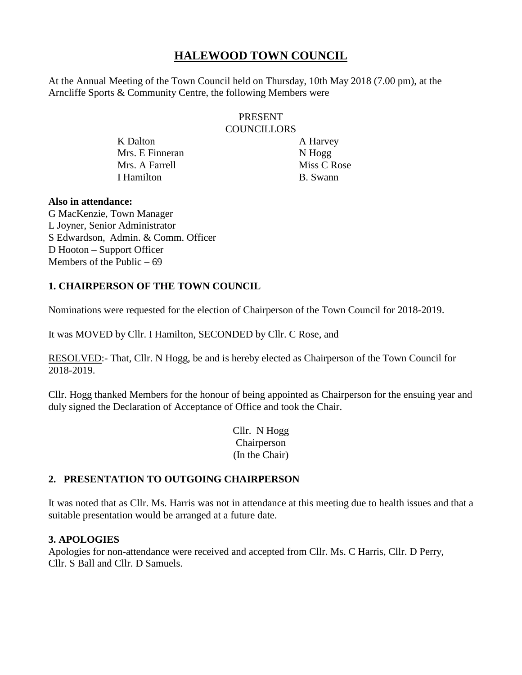# **HALEWOOD TOWN COUNCIL**

At the Annual Meeting of the Town Council held on Thursday, 10th May 2018 (7.00 pm), at the Arncliffe Sports & Community Centre, the following Members were

### PRESENT **COUNCILLORS**

K Dalton A Harvey Mrs. E Finneran N Hogg Mrs. A Farrell Miss C Rose I Hamilton B. Swann

#### **Also in attendance:**

G MacKenzie, Town Manager L Joyner, Senior Administrator S Edwardson, Admin. & Comm. Officer D Hooton – Support Officer Members of the Public  $-69$ 

# **1. CHAIRPERSON OF THE TOWN COUNCIL**

Nominations were requested for the election of Chairperson of the Town Council for 2018-2019.

It was MOVED by Cllr. I Hamilton, SECONDED by Cllr. C Rose, and

RESOLVED:- That, Cllr. N Hogg, be and is hereby elected as Chairperson of the Town Council for 2018-2019.

Cllr. Hogg thanked Members for the honour of being appointed as Chairperson for the ensuing year and duly signed the Declaration of Acceptance of Office and took the Chair.

> Cllr. N Hogg Chairperson (In the Chair)

# **2. PRESENTATION TO OUTGOING CHAIRPERSON**

It was noted that as Cllr. Ms. Harris was not in attendance at this meeting due to health issues and that a suitable presentation would be arranged at a future date.

# **3. APOLOGIES**

Apologies for non-attendance were received and accepted from Cllr. Ms. C Harris, Cllr. D Perry, Cllr. S Ball and Cllr. D Samuels.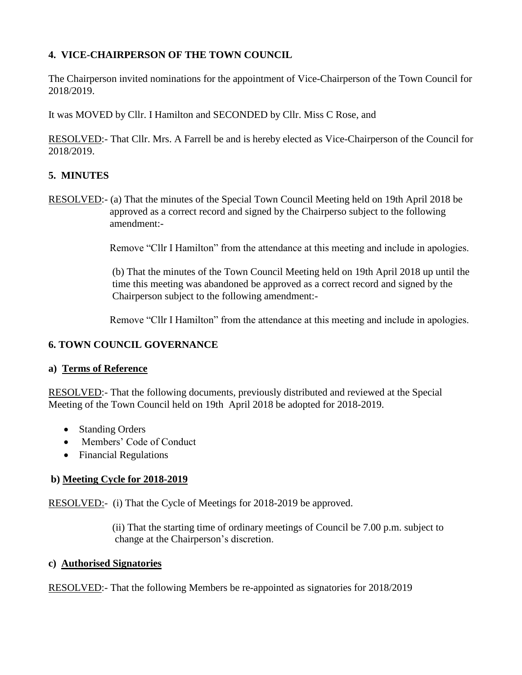# **4. VICE-CHAIRPERSON OF THE TOWN COUNCIL**

The Chairperson invited nominations for the appointment of Vice-Chairperson of the Town Council for 2018/2019.

It was MOVED by Cllr. I Hamilton and SECONDED by Cllr. Miss C Rose, and

RESOLVED:- That Cllr. Mrs. A Farrell be and is hereby elected as Vice-Chairperson of the Council for 2018/2019.

# **5. MINUTES**

RESOLVED:- (a) That the minutes of the Special Town Council Meeting held on 19th April 2018 be approved as a correct record and signed by the Chairperso subject to the following amendment:-

Remove "Cllr I Hamilton" from the attendance at this meeting and include in apologies.

 (b) That the minutes of the Town Council Meeting held on 19th April 2018 up until the time this meeting was abandoned be approved as a correct record and signed by the Chairperson subject to the following amendment:-

Remove "Cllr I Hamilton" from the attendance at this meeting and include in apologies.

# **6. TOWN COUNCIL GOVERNANCE**

# **a) Terms of Reference**

RESOLVED:- That the following documents, previously distributed and reviewed at the Special Meeting of the Town Council held on 19th April 2018 be adopted for 2018-2019.

- Standing Orders
- Members' Code of Conduct
- Financial Regulations

# **b) Meeting Cycle for 2018-2019**

RESOLVED:- (i) That the Cycle of Meetings for 2018-2019 be approved.

 (ii) That the starting time of ordinary meetings of Council be 7.00 p.m. subject to change at the Chairperson's discretion.

#### **c) Authorised Signatories**

RESOLVED:- That the following Members be re-appointed as signatories for 2018/2019